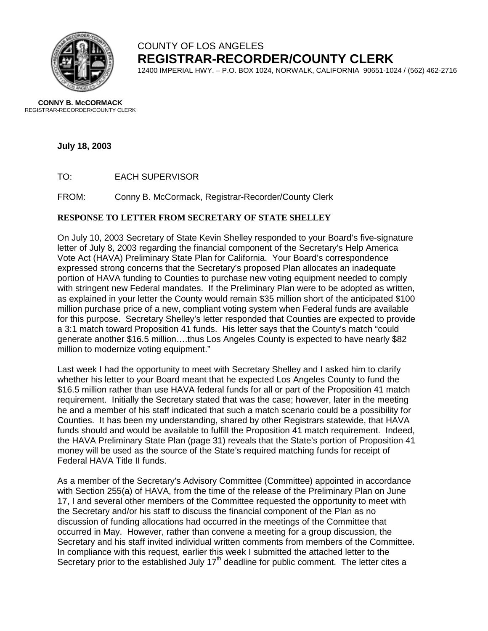

### COUNTY OF LOS ANGELES **REGISTRAR-RECORDER/COUNTY CLERK**

12400 IMPERIAL HWY. – P.O. BOX 1024, NORWALK, CALIFORNIA 90651-1024 / (562) 462-2716

**CONNY B. McCORMACK** REGISTRAR-RECORDER/COUNTY CLERK

**July 18, 2003** 

TO: EACH SUPERVISOR

FROM: Conny B. McCormack, Registrar-Recorder/County Clerk

### **RESPONSE TO LETTER FROM SECRETARY OF STATE SHELLEY**

On July 10, 2003 Secretary of State Kevin Shelley responded to your Board's five-signature letter of July 8, 2003 regarding the financial component of the Secretary's Help America Vote Act (HAVA) Preliminary State Plan for California. Your Board's correspondence expressed strong concerns that the Secretary's proposed Plan allocates an inadequate portion of HAVA funding to Counties to purchase new voting equipment needed to comply with stringent new Federal mandates. If the Preliminary Plan were to be adopted as written, as explained in your letter the County would remain \$35 million short of the anticipated \$100 million purchase price of a new, compliant voting system when Federal funds are available for this purpose. Secretary Shelley's letter responded that Counties are expected to provide a 3:1 match toward Proposition 41 funds. His letter says that the County's match "could generate another \$16.5 million….thus Los Angeles County is expected to have nearly \$82 million to modernize voting equipment."

Last week I had the opportunity to meet with Secretary Shelley and I asked him to clarify whether his letter to your Board meant that he expected Los Angeles County to fund the \$16.5 million rather than use HAVA federal funds for all or part of the Proposition 41 match requirement. Initially the Secretary stated that was the case; however, later in the meeting he and a member of his staff indicated that such a match scenario could be a possibility for Counties. It has been my understanding, shared by other Registrars statewide, that HAVA funds should and would be available to fulfill the Proposition 41 match requirement. Indeed, the HAVA Preliminary State Plan (page 31) reveals that the State's portion of Proposition 41 money will be used as the source of the State's required matching funds for receipt of Federal HAVA Title II funds.

As a member of the Secretary's Advisory Committee (Committee) appointed in accordance with Section 255(a) of HAVA, from the time of the release of the Preliminary Plan on June 17, I and several other members of the Committee requested the opportunity to meet with the Secretary and/or his staff to discuss the financial component of the Plan as no discussion of funding allocations had occurred in the meetings of the Committee that occurred in May. However, rather than convene a meeting for a group discussion, the Secretary and his staff invited individual written comments from members of the Committee. In compliance with this request, earlier this week I submitted the attached letter to the Secretary prior to the established July  $17<sup>th</sup>$  deadline for public comment. The letter cites a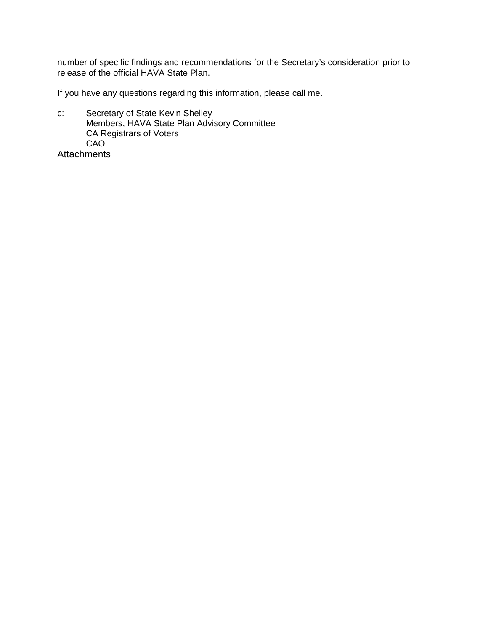number of specific findings and recommendations for the Secretary's consideration prior to release of the official HAVA State Plan.

If you have any questions regarding this information, please call me.

c: Secretary of State Kevin Shelley Members, HAVA State Plan Advisory Committee CA Registrars of Voters CAO

**Attachments**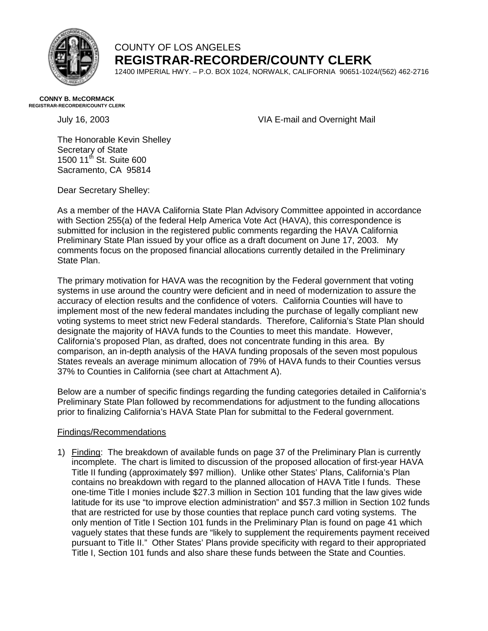

### COUNTY OF LOS ANGELES **REGISTRAR-RECORDER/COUNTY CLERK**

12400 IMPERIAL HWY. – P.O. BOX 1024, NORWALK, CALIFORNIA 90651-1024/(562) 462-2716

#### **CONNY B. McCORMACK REGISTRAR-RECORDER/COUNTY CLERK**

July 16, 2003 VIA E-mail and Overnight Mail

The Honorable Kevin Shelley Secretary of State 1500 11th St. Suite 600 Sacramento, CA 95814

Dear Secretary Shelley:

As a member of the HAVA California State Plan Advisory Committee appointed in accordance with Section 255(a) of the federal Help America Vote Act (HAVA), this correspondence is submitted for inclusion in the registered public comments regarding the HAVA California Preliminary State Plan issued by your office as a draft document on June 17, 2003. My comments focus on the proposed financial allocations currently detailed in the Preliminary State Plan.

The primary motivation for HAVA was the recognition by the Federal government that voting systems in use around the country were deficient and in need of modernization to assure the accuracy of election results and the confidence of voters. California Counties will have to implement most of the new federal mandates including the purchase of legally compliant new voting systems to meet strict new Federal standards. Therefore, California's State Plan should designate the majority of HAVA funds to the Counties to meet this mandate. However, California's proposed Plan, as drafted, does not concentrate funding in this area. By comparison, an in-depth analysis of the HAVA funding proposals of the seven most populous States reveals an average minimum allocation of 79% of HAVA funds to their Counties versus 37% to Counties in California (see chart at Attachment A).

Below are a number of specific findings regarding the funding categories detailed in California's Preliminary State Plan followed by recommendations for adjustment to the funding allocations prior to finalizing California's HAVA State Plan for submittal to the Federal government.

### Findings/Recommendations

1) Finding: The breakdown of available funds on page 37 of the Preliminary Plan is currently incomplete. The chart is limited to discussion of the proposed allocation of first-year HAVA Title II funding (approximately \$97 million). Unlike other States' Plans, California's Plan contains no breakdown with regard to the planned allocation of HAVA Title I funds. These one-time Title I monies include \$27.3 million in Section 101 funding that the law gives wide latitude for its use "to improve election administration" and \$57.3 million in Section 102 funds that are restricted for use by those counties that replace punch card voting systems. The only mention of Title I Section 101 funds in the Preliminary Plan is found on page 41 which vaguely states that these funds are "likely to supplement the requirements payment received pursuant to Title II." Other States' Plans provide specificity with regard to their appropriated Title I, Section 101 funds and also share these funds between the State and Counties.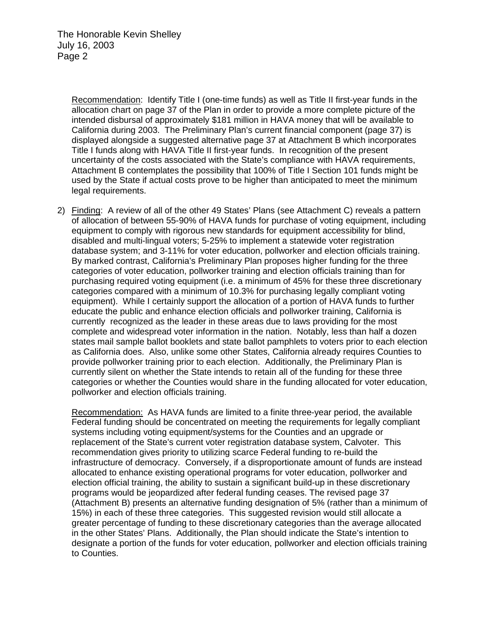Recommendation: Identify Title I (one-time funds) as well as Title II first-year funds in the allocation chart on page 37 of the Plan in order to provide a more complete picture of the intended disbursal of approximately \$181 million in HAVA money that will be available to California during 2003. The Preliminary Plan's current financial component (page 37) is displayed alongside a suggested alternative page 37 at Attachment B which incorporates Title I funds along with HAVA Title II first-year funds. In recognition of the present uncertainty of the costs associated with the State's compliance with HAVA requirements, Attachment B contemplates the possibility that 100% of Title I Section 101 funds might be used by the State if actual costs prove to be higher than anticipated to meet the minimum legal requirements.

2) Finding: A review of all of the other 49 States' Plans (see Attachment C) reveals a pattern of allocation of between 55-90% of HAVA funds for purchase of voting equipment, including equipment to comply with rigorous new standards for equipment accessibility for blind, disabled and multi-lingual voters; 5-25% to implement a statewide voter registration database system; and 3-11% for voter education, pollworker and election officials training. By marked contrast, California's Preliminary Plan proposes higher funding for the three categories of voter education, pollworker training and election officials training than for purchasing required voting equipment (i.e. a minimum of 45% for these three discretionary categories compared with a minimum of 10.3% for purchasing legally compliant voting equipment). While I certainly support the allocation of a portion of HAVA funds to further educate the public and enhance election officials and pollworker training, California is currently recognized as the leader in these areas due to laws providing for the most complete and widespread voter information in the nation. Notably, less than half a dozen states mail sample ballot booklets and state ballot pamphlets to voters prior to each election as California does. Also, unlike some other States, California already requires Counties to provide pollworker training prior to each election. Additionally, the Preliminary Plan is currently silent on whether the State intends to retain all of the funding for these three categories or whether the Counties would share in the funding allocated for voter education, pollworker and election officials training.

Recommendation: As HAVA funds are limited to a finite three-year period, the available Federal funding should be concentrated on meeting the requirements for legally compliant systems including voting equipment/systems for the Counties and an upgrade or replacement of the State's current voter registration database system, Calvoter. This recommendation gives priority to utilizing scarce Federal funding to re-build the infrastructure of democracy. Conversely, if a disproportionate amount of funds are instead allocated to enhance existing operational programs for voter education, pollworker and election official training, the ability to sustain a significant build-up in these discretionary programs would be jeopardized after federal funding ceases. The revised page 37 (Attachment B) presents an alternative funding designation of 5% (rather than a minimum of 15%) in each of these three categories. This suggested revision would still allocate a greater percentage of funding to these discretionary categories than the average allocated in the other States' Plans. Additionally, the Plan should indicate the State's intention to designate a portion of the funds for voter education, pollworker and election officials training to Counties.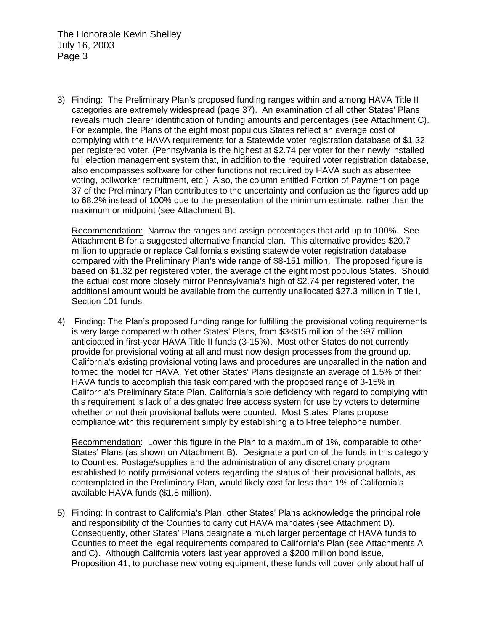The Honorable Kevin Shelley July 16, 2003 Page 3

3) Finding: The Preliminary Plan's proposed funding ranges within and among HAVA Title II categories are extremely widespread (page 37). An examination of all other States' Plans reveals much clearer identification of funding amounts and percentages (see Attachment C). For example, the Plans of the eight most populous States reflect an average cost of complying with the HAVA requirements for a Statewide voter registration database of \$1.32 per registered voter. (Pennsylvania is the highest at \$2.74 per voter for their newly installed full election management system that, in addition to the required voter registration database, also encompasses software for other functions not required by HAVA such as absentee voting, pollworker recruitment, etc.) Also, the column entitled Portion of Payment on page 37 of the Preliminary Plan contributes to the uncertainty and confusion as the figures add up to 68.2% instead of 100% due to the presentation of the minimum estimate, rather than the maximum or midpoint (see Attachment B).

Recommendation: Narrow the ranges and assign percentages that add up to 100%. See Attachment B for a suggested alternative financial plan. This alternative provides \$20.7 million to upgrade or replace California's existing statewide voter registration database compared with the Preliminary Plan's wide range of \$8-151 million. The proposed figure is based on \$1.32 per registered voter, the average of the eight most populous States. Should the actual cost more closely mirror Pennsylvania's high of \$2.74 per registered voter, the additional amount would be available from the currently unallocated \$27.3 million in Title I, Section 101 funds.

4) Finding: The Plan's proposed funding range for fulfilling the provisional voting requirements is very large compared with other States' Plans, from \$3-\$15 million of the \$97 million anticipated in first-year HAVA Title II funds (3-15%). Most other States do not currently provide for provisional voting at all and must now design processes from the ground up. California's existing provisional voting laws and procedures are unparalled in the nation and formed the model for HAVA. Yet other States' Plans designate an average of 1.5% of their HAVA funds to accomplish this task compared with the proposed range of 3-15% in California's Preliminary State Plan. California's sole deficiency with regard to complying with this requirement is lack of a designated free access system for use by voters to determine whether or not their provisional ballots were counted. Most States' Plans propose compliance with this requirement simply by establishing a toll-free telephone number.

Recommendation: Lower this figure in the Plan to a maximum of 1%, comparable to other States' Plans (as shown on Attachment B). Designate a portion of the funds in this category to Counties. Postage/supplies and the administration of any discretionary program established to notify provisional voters regarding the status of their provisional ballots, as contemplated in the Preliminary Plan, would likely cost far less than 1% of California's available HAVA funds (\$1.8 million).

5) Finding: In contrast to California's Plan, other States' Plans acknowledge the principal role and responsibility of the Counties to carry out HAVA mandates (see Attachment D). Consequently, other States' Plans designate a much larger percentage of HAVA funds to Counties to meet the legal requirements compared to California's Plan (see Attachments A and C). Although California voters last year approved a \$200 million bond issue, Proposition 41, to purchase new voting equipment, these funds will cover only about half of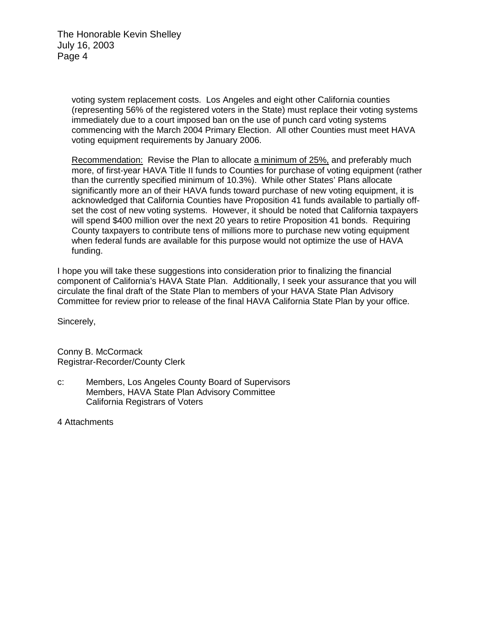The Honorable Kevin Shelley July 16, 2003 Page 4

> voting system replacement costs. Los Angeles and eight other California counties (representing 56% of the registered voters in the State) must replace their voting systems immediately due to a court imposed ban on the use of punch card voting systems commencing with the March 2004 Primary Election. All other Counties must meet HAVA voting equipment requirements by January 2006.

Recommendation: Revise the Plan to allocate a minimum of 25%, and preferably much more, of first-year HAVA Title II funds to Counties for purchase of voting equipment (rather than the currently specified minimum of 10.3%). While other States' Plans allocate significantly more an of their HAVA funds toward purchase of new voting equipment, it is acknowledged that California Counties have Proposition 41 funds available to partially offset the cost of new voting systems. However, it should be noted that California taxpayers will spend \$400 million over the next 20 years to retire Proposition 41 bonds. Requiring County taxpayers to contribute tens of millions more to purchase new voting equipment when federal funds are available for this purpose would not optimize the use of HAVA funding.

I hope you will take these suggestions into consideration prior to finalizing the financial component of California's HAVA State Plan. Additionally, I seek your assurance that you will circulate the final draft of the State Plan to members of your HAVA State Plan Advisory Committee for review prior to release of the final HAVA California State Plan by your office.

Sincerely,

Conny B. McCormack Registrar-Recorder/County Clerk

c: Members, Los Angeles County Board of Supervisors Members, HAVA State Plan Advisory Committee California Registrars of Voters

4 Attachments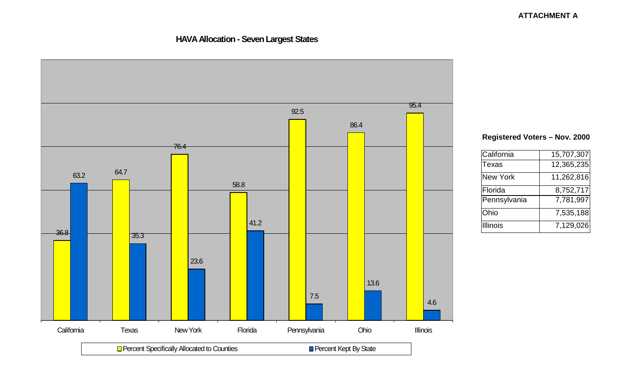### **ATTACHMENT A**

### **HAVA Allocation - Seven Largest States**



### **Registered Voters – Nov. 2000**

| California      | 15,707,307 |
|-----------------|------------|
| <b>Texas</b>    | 12,365,235 |
| <b>New York</b> | 11,262,816 |
| Florida         | 8,752,717  |
| Pennsylvania    | 7,781,997  |
| Ohio            | 7,535,188  |
| <b>Illinois</b> | 7,129,026  |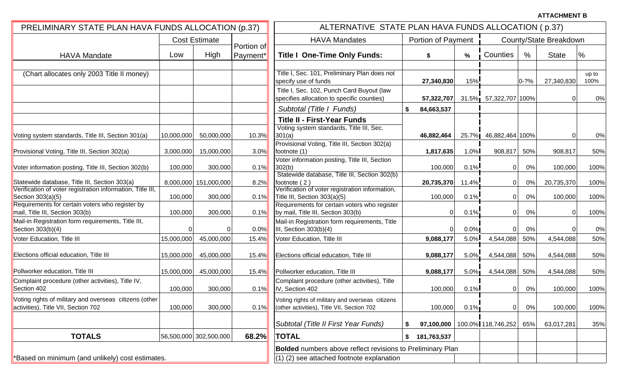**ATTACHMENT B**

| PRELIMINARY STATE PLAN HAVA FUNDS ALLOCATION (p.37)                                                         |                                    |                        |              | ALTERNATIVE STATE PLAN HAVA FUNDS ALLOCATION (p.37)                                                                                       |                           |         |                                 |                        |              |               |  |  |  |
|-------------------------------------------------------------------------------------------------------------|------------------------------------|------------------------|--------------|-------------------------------------------------------------------------------------------------------------------------------------------|---------------------------|---------|---------------------------------|------------------------|--------------|---------------|--|--|--|
|                                                                                                             | <b>Cost Estimate</b><br>Portion of |                        |              | <b>HAVA Mandates</b>                                                                                                                      | <b>Portion of Payment</b> |         |                                 | County/State Breakdown |              |               |  |  |  |
| <b>HAVA Mandate</b>                                                                                         | Low                                | High                   | Payment*     | <b>Title I One-Time Only Funds:</b>                                                                                                       | S                         | %       | Counties                        | $\%$                   | <b>State</b> | $\%$          |  |  |  |
| (Chart allocates only 2003 Title II money)                                                                  |                                    |                        |              | Title I, Sec. 101, Preliminary Plan does not<br>specify use of funds                                                                      | 27,340,830                | $15\%$  |                                 | $0 - ?%$               | 27,340,830   | up to<br>100% |  |  |  |
|                                                                                                             |                                    |                        |              | Title I, Sec. 102, Punch Card Buyout (law<br>specifies allocation to specific counties)                                                   | 57,322,707                |         | 31.5% 57,322,707 100%           |                        | $\Omega$     | 0%            |  |  |  |
|                                                                                                             |                                    |                        |              | Subtotal (Title I Funds)                                                                                                                  | 84,663,537<br>S.          |         |                                 |                        |              |               |  |  |  |
| Voting system standards, Title III, Section 301(a)                                                          | 10,000,000                         | 50,000,000             | 10.3%        | <b>Title II - First-Year Funds</b><br>Voting system standards, Title III, Sec.<br>301(a)<br>Provisional Voting, Title III, Section 302(a) | 46,882,464                |         | 25.7% 46,882,464 100%           |                        | 0            | 0%            |  |  |  |
| Provisional Voting, Title III, Section 302(a)                                                               | 3,000,000                          | 15,000,000             | 3.0%         | footnote (1)                                                                                                                              | 1,817,635                 | 1.0%    | 908,817                         | 50%                    | 908,817      | 50%           |  |  |  |
| Voter information posting, Title III, Section 302(b)                                                        | 100,000                            | 300,000                | 0.1%         | Voter information posting, Title III, Section<br>302(b)                                                                                   | 100,000                   | $0.1\%$ | 0                               | 0%                     | 100,000      | 100%          |  |  |  |
| Statewide database, Title III, Section 303(a)<br>Verification of voter registration information, Title III, |                                    | 8,000,000 151,000,000  | 8.2%         | Statewide database, Title III, Section 302(b)<br>footnote (2)<br>Verification of voter registration information,                          | 20,735,370                | 11.4%   | 0                               | $0\%$                  | 20,735,370   | 100%          |  |  |  |
| Section 303(a)(5)                                                                                           | 100,000                            | 300,000                | 0.1%         | Title III, Section 303(a)(5)                                                                                                              | 100,000                   | 0.1%    | 0                               | 0%                     | 100,000      | 100%          |  |  |  |
| Requirements for certain voters who register by<br>mail, Title III, Section 303(b)                          | 100,000                            | 300,000                | 0.1%         | Requirements for certain voters who register<br>by mail, Title III, Section 303(b)                                                        | 0                         | 0.1%    | 0                               | 0%                     | 0            | 100%          |  |  |  |
| Mail-in Registration form requirements, Title III,<br>Section 303(b)(4)                                     | 0                                  | 0                      | 0.0%         | Mail-in Registration form requirements, Title<br>III, Section 303(b)(4)                                                                   | $\Omega$                  | $0.0\%$ | $\Omega$                        | 0%                     |              | 0%            |  |  |  |
| Voter Education, Title III                                                                                  | 15,000,000                         | 45,000,000             | 15.4%        | Voter Education, Title III                                                                                                                | 9,088,177                 | $5.0\%$ | 4,544,088                       | 50%                    | 4,544,088    | 50%           |  |  |  |
| Elections official education, Title III                                                                     | 15,000,000                         | 45,000,000             | 15.4%        | Elections official education, Title III                                                                                                   | 9,088,177                 | 5.0%    | 4,544,088                       | 50%                    | 4,544,088    | 50%           |  |  |  |
| Pollworker education, Title III                                                                             | 15,000,000                         | 45,000,000             | <b>15.4%</b> | Pollworker education, Title III                                                                                                           | 9,088,177                 | $5.0\%$ | 4,544,088                       | 50%                    | 4,544,088    | 50%           |  |  |  |
| Complaint procedure (other activities), Title IV,<br>Section 402                                            | 100,000                            | 300,000                | 0.1%         | Complaint procedure (other activities), Title<br>IV, Section 402                                                                          | 100,000                   | 0.1%    | 0                               | 0%                     | 100,000      | 100%          |  |  |  |
| Voting rights of military and overseas citizens (other<br>activities), Title VII, Section 702               | 100,000                            | 300,000                | 0.1%         | Voting rights of military and overseas citizens<br>(other activities), Title VII, Section 702                                             | 100,000                   | $0.1\%$ | 0                               | $0\%$                  | 100,000      | 100%          |  |  |  |
|                                                                                                             |                                    |                        |              | Subtotal (Title II First Year Funds)                                                                                                      |                           |         | 97,100,000   100.0% 118,746,252 | 65%                    | 63,017,281   | 35%           |  |  |  |
| <b>TOTALS</b>                                                                                               |                                    | 56,500,000 302,500,000 | 68.2%        | <b>TOTAL</b>                                                                                                                              | 181,763,537<br>\$         |         |                                 |                        |              |               |  |  |  |
|                                                                                                             |                                    |                        |              | <b>Bolded</b> numbers above reflect revisions to Preliminary Plan                                                                         |                           |         |                                 |                        |              |               |  |  |  |
| *Based on minimum (and unlikely) cost estimates.                                                            |                                    |                        |              | (1) (2) see attached footnote explanation                                                                                                 |                           |         |                                 |                        |              |               |  |  |  |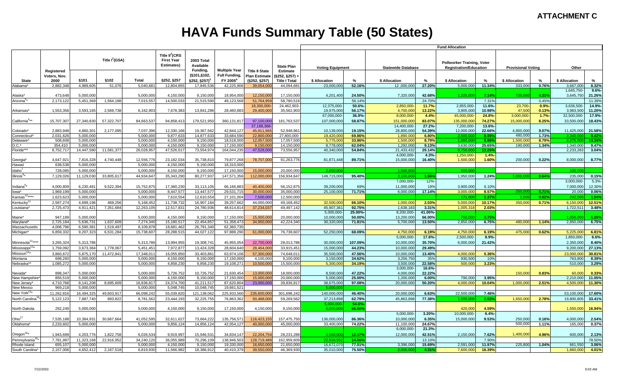# **HAVA Funds Summary Table (50 States)**

|                              |             |                            |            |            |            |                          |                      |                                                             |                                     | <b>Fund Allocation</b>   |                       |                                      |                         |                         |                           |               |                                                                    |                        |                           |  |       |  |
|------------------------------|-------------|----------------------------|------------|------------|------------|--------------------------|----------------------|-------------------------------------------------------------|-------------------------------------|--------------------------|-----------------------|--------------------------------------|-------------------------|-------------------------|---------------------------|---------------|--------------------------------------------------------------------|------------------------|---------------------------|--|-------|--|
|                              | Registered  | Title I <sup>1</sup> (GSA) |            |            |            |                          |                      | Title $II^2$ (CRS<br><b>First Year</b><br><b>Estimates)</b> | 2003 Total<br>Available<br>Fundina. | <b>Multiple Year</b>     | <b>Title II State</b> | <b>State Plan</b><br><b>Estimate</b> | <b>Voting Equipment</b> |                         | <b>Statewide Database</b> |               | <b>Pollworker Training, Voter</b><br><b>Registration/Education</b> |                        | <b>Provisional Voting</b> |  | Other |  |
|                              | Voters, Nov |                            |            |            |            | (§101,§102,              | <b>Full Funding,</b> | <b>Plan Estimate</b>                                        | \$252, \$257)                       |                          |                       |                                      |                         |                         |                           |               |                                                                    |                        |                           |  |       |  |
| <b>State</b>                 | 2000        | §101                       | §102       | Total      | §252, §257 | §252, §257) <sup>3</sup> | FY 2005 <sup>4</sup> | (§252, §257)                                                | <b>Title I Total</b>                | \$ Allocation            | $\%$                  | \$ Allocation                        | $\%$                    | \$ Allocation           | %                         | \$ Allocation | %                                                                  | \$ Allocation          | %                         |  |       |  |
| Alabama*                     | 2.882.348   | 4.989.605                  | 51.076     | 5.040.681  | 12.804.855 | 17,845,536               | 42.225.906           | 39,054,00                                                   | 44.094.68                           | 23.000.000               | 52.16%                | 12.000.000                           | 27.20%                  | 5.000.000               | 11.34%                    | 333,000       | 0.76%                                                              | 3.667.000              | 8.32%                     |  |       |  |
| Alaska*                      | 473,648     | 5,000,000                  |            | 5,000,000  | 4,150,000  | 9,150,000                | 18,954,000           | 12,150,00                                                   | 17,150,000                          | 4,201,400                | 24.50%                | 7,320,000                            | 42.68%                  | 1.225.000               | 7.14%                     | 739,060       | 4.31%                                                              | 1,645,750<br>3,645,750 | $9.6% -$<br>21.26%        |  |       |  |
| Arizona <sup>5</sup>         | 2,173,122   | 5,451,369                  | 1,564,188  | 7,015,557  | 14,500,033 | 21,515,590               | 49,123,568           | 51,764,959                                                  | 58,780,51                           |                          | 56.14%                |                                      | 24.70%                  |                         | 7.31%                     |               | 0.45%                                                              |                        | 11.39%                    |  |       |  |
|                              |             |                            |            |            |            |                          |                      | 18,300,000                                                  | 24,462,903                          | 12,375,000               | 50.6%                 | 2,850,000                            | 11.7%-                  | 2,855,000               | 11.6%-                    | 23,700-       | $0.9% -$                                                           | 3,636,500              | 14.9%-                    |  |       |  |
| Arkansas'                    | 1,553,356   | 3,593,165                  | 2,569,738  | 6,162,903  | 7,678,383  | 13,841,286               | 28,460,883           | 29,400,000                                                  | 35,562,903                          | 19,975,000               | 56.17%                | 4,700,000                            | 13.22%                  | 3,905,000               | 10.98%                    | 47,500        | 0.13%                                                              | 3,983,500              | 11.20%                    |  |       |  |
|                              |             |                            |            |            |            |                          |                      |                                                             |                                     | 67.000.000               | 36.9%                 | 8,000,000                            | $4.4% -$                | 45,000,000              | 24.8%                     | 3,000,000     | 1.7%                                                               | 32.500.000             | 17.9%-                    |  |       |  |
| California <sup>6**</sup>    | 15,707,307  | 27,340,830                 | 57,322,707 | 84,663,537 | 94,858,413 | 179,521,950              | 360,131,817          | 97,100,000                                                  | 181,763,53                          | 107,000,000              | 58.87%                | 151,000,000                          | 83.07%                  | 135,000,000             | 74.27%                    | 15,000,000    | 8.25%                                                              | 33,500,000             | 18.43%                    |  |       |  |
|                              | 2.883.948   | 4.860.301                  | 2,177,095  | 7,037,396  | 12,330,166 | 19,367,562               | 42,844,127           | 37.188.368<br>45,911,56                                     | 52,948,96                           | 10.139.000               | 19.15%                | 14,400,000<br>28,800,000             | 27.2%<br>54.39%         | 7.200.000<br>12,000,000 | $13.6% -$<br>22.66%       | 4,800,000     | 9.07%                                                              | 11.425.000             | 21.58%                    |  |       |  |
| Colorado*<br>Connecticut*    | 2,031,626   | 5,000,000                  |            | 5,000,000  | 9,877,633  | 14,877,633               | 33,684,590           | 22,800,00                                                   | 27,800,000                          | 19,420,000               | 69.86%                | 1,890,000                            | 6.80%                   | 2.500.000               | 8.99%                     | 480.000       | 1.73%                                                              | 2.340.000              | 8.42%                     |  |       |  |
| Delaware*                    | 508,608     | 5.000.000                  |            | 5.000.000  | 4,150,000  | 9,150,000                | 18,518,000           | 12,057,500                                                  | 17,057,500                          | 5,775,000                | 33.86%                | 1,500,000                            | 8.79%                   | 1.000.000               | 5.86%                     | 1,500,000     | 8.79%                                                              | 2.275.000              | 13.34%                    |  |       |  |
| $D.C.*$                      | 354,410     | 5,000,000                  |            | 5,000,000  | 4,150,000  | 9,150,000                | 17,150,000           | 9,150,000                                                   | 14,150,00                           | 8,778,000                | 62.04%                | 1,292,000                            | 9.13%                   | 3,630,000               | 25.65%                    | 190,000       | 1.34%                                                              | 1,340,000              | 9.47%                     |  |       |  |
| Florida***                   | 8,752,717   | 14,447,580                 | 11,581,377 | 26,028,957 | 47,526,017 | 73,554,974               | 164,044,235          | 47,528,000                                                  | 73,556,95                           | 40,340,000               | 54.84%                | 21,433,432                           | 29.14%                  | 9,750,00                | 13.26%                    |               |                                                                    | 2,233,283              | 3.04%                     |  |       |  |
|                              |             |                            |            |            |            |                          |                      |                                                             |                                     |                          |                       | 4,000,000                            | $4.3% -$                | 1,250,000               | $1.4% -$                  |               |                                                                    |                        |                           |  |       |  |
| Georgia                      | 4,647,921   | 7,816,328                  | 4,740,448  | 12,556,776 | 23,182,034 | 35,738,810               | 79,877,268           | 78,707,00                                                   | 91,263,776                          | 81,871,448               | 89.71%                | 15,000,000                           | 16.40%                  | 1,500,000               | 1.60%                     | 200,000       | 0.22%                                                              | 8,000,000              | 8.77%                     |  |       |  |
| Hawaii                       | 638,538     | 5,000,000                  |            | 5,000,000  | 4,150,000  | 9,150,000                | 18,310,000           |                                                             |                                     |                          |                       |                                      |                         |                         |                           |               |                                                                    |                        |                           |  |       |  |
| Idaho                        | 728,085     | 5,000,000                  |            | 5,000,000  | 4,150,000  | 9,150,000                | 17,150,000           | 15,000,00                                                   | 20,000,00                           | 2,800,00                 |                       | 1,500,00                             |                         | 600.00                  |                           |               |                                                                    | 100,00                 |                           |  |       |  |
| Illinois <sup>8</sup>        | 7,129,026   | 11,129,030                 | 33,805,617 | 44,934,647 | 35,343,290 | 80,277,937               | 147,571,356          | 112,000,000                                                 | 156.934.64                          | 149,715,000              | 95.40%                | 3,100,00                             | 1.98%                   | 1,950,000               | 1.24%                     | 1,000,000     | 0.64%                                                              | 235,000                | 0.15%                     |  |       |  |
|                              |             |                            |            |            |            |                          |                      |                                                             |                                     |                          |                       | 7,000,000                            | 12%                     |                         |                           |               |                                                                    | 3,000,000              | 5.3%                      |  |       |  |
| Indiana                      | 4,000,809   | 6,230,481                  | 9,522,394  | 15,752,875 | 17,360,230 | 33,113,105               | 66,166,883           | 40,400,00                                                   | 56,152,875                          | 39,200,000               | 69%                   | 11,000,000                           | 19%                     | 3,900,000               | 6.10%                     |               |                                                                    | 7,000,000              | 12.30%                    |  |       |  |
| lowa*                        | 1,969,199   | 5,000,000                  |            | 5,000,000  | 8,447,577  | 13,447,577               | 29,531,715           | 30,000,000                                                  | 35,000,000                          | 25,100,000               | 71.71%                | 6,000,000                            | 17.14%                  | 3,000,000               | 8.57%                     | 250,00        | 0.71%                                                              | 20,000                 | 0.06%                     |  |       |  |
| Kansas <sup>10</sup> ****    |             |                            |            |            |            |                          |                      |                                                             | 12,500,000                          |                          |                       |                                      |                         | 171.000                 |                           | 2,000         | 0.02%                                                              |                        | 1.94%                     |  |       |  |
|                              | 1,623,623   | 5,000,000                  |            | 5,000,000  | 7,610,554  | 12,610,554               | 27,101,004           | 7,500,000                                                   |                                     |                          |                       |                                      |                         |                         | 1.37%                     |               |                                                                    | 242,000                |                           |  |       |  |
| Kentucky                     | 2,587,274   | 4,699,196                  | 469,256    | 5,168,452  | 11,738,732 | 16,907,184               | 39,257,662           | 44,000,000                                                  | 49,168,45                           | 32,500,000<br>45,907,361 | 66.10%                | 1,000,000                            | 2.03%                   | 5,000,000               | 10.17%                    | 350,000       | 0.71%                                                              | 6,150,000              | 12.51%                    |  |       |  |
| Louisiana*                   | 2,725,473   | 4,911,421                  | 7,351,684  | 12,263,105 | 12,517,831 | 24,780,936               | 48,614,814           | 37,234,037                                                  | 49,497,14                           | 5,000,000                | 92.75%<br>25.00%      | 1.638.183<br>8,200,000               | 3.31%<br>41.00%-        | 1,005,318               | 2.03%                     |               |                                                                    | 1,722,511              | 3.48%                     |  |       |  |
| Maine*                       | 947,189     | 5,000,000                  |            | 5,000,000  | 4,150,000  | 9,150,000                | 17,150,000           | 15,000,000                                                  | 20,000,000                          | 10,000,000               | 50.00%                | 13,200,000                           | 66.00%                  | 750.00                  | 3.75%                     |               |                                                                    | 1.050.00               | 5.25%                     |  |       |  |
| Maryland*                    | 2,725,184   | 5,636,731                  | 1,637,609  | 7.274.340  | 15,180,517 | 22,454,857               | 51,358,473           | 34,950,000                                                  | 42,224,340                          | 30,320,000               | 71.81%                | 5,700,000                            | 13.50%                  | 2,850,000               | 6.75%                     | 480,000       | 1.14%                                                              | 2.850.000              | 6.75%                     |  |       |  |
| Massachusetts                | 4,008,796   | 6.590.381                  | 1,519,497  | 8,109,878  | 18,681,462 | 26,791,340               | 62,360,735           |                                                             |                                     |                          |                       |                                      |                         |                         |                           |               |                                                                    |                        |                           |  |       |  |
| Michigan*                    | 6.859.332   | 9,207,323                  | 6,531,284  | 15,738,607 | 28,288,515 | 44.027.122               | 97,888,290           | 61,000,000                                                  | 76,738,60                           | 52.250.000               | 68.09%                | 4,750,000                            | 6.19%                   | 4,750,000               | 6.19%                     | 475.000       | 0.62%                                                              | 5,225,000              | 6.81%                     |  |       |  |
|                              |             |                            |            |            |            |                          |                      |                                                             |                                     |                          |                       | 5,000,000                            | 17.8%                   | 2,500,000               | $8.9% -$                  |               |                                                                    | 1,850,000              | $6.6% -$                  |  |       |  |
| Minnesota <sup>12***</sup>   | 3.265.32    | 5.313.786                  |            | 5.313.786  | 13.994.955 | 19.308.741               | 45.955.054           | 22.700.000                                                  | 28.013.786                          | 30.000.000               | 107.09%               | 10.000.000                           | 35.70%                  | 6.000.000               | 21.42%                    |               |                                                                    | 2.350.000              | 8.40%                     |  |       |  |
| Mississippi <sup>13*</sup>   | 1,759,092   | 3,673,384                  | 1,778,067  | 5,451,451  | 7,972,877  | 13,424,328               | 28,604,640           | 28,464,000                                                  | 33,915,45                           | 15,000,000               | 44.23%                | 10,000,000                           | 29.49%                  |                         |                           |               |                                                                    | 9.200.000              | 27.13%                    |  |       |  |
| Missouri <sup>14*</sup>      | 3,860,672   | 5,875,170                  | 11,472,841 | 17,348,011 | 16,055,850 | 33,403,861               | 63,974,106           | 57,300,000                                                  | 74,648,01                           | 35,500,000               | 47.56%                | 10,000,000                           | 13.40%                  | 4,000,000               | 5.36%                     |               |                                                                    | 23,000,000             | 30.81%                    |  |       |  |
| Montana                      | 698,260     | 5,000,000                  |            | 5,000,000  | 4,150,000  | 9,150,000                | 17,150,000           | 4,100,000                                                   | 9,100,000                           | 3,150,000                | 34.62%                | 3,256,750                            | 35%                     | 930,500                 | 10%                       |               |                                                                    | 763,800                | 8.39%                     |  |       |  |
| Nebraska**                   | 1,085,272   | 5,000,000                  |            | 5,000,000  | 4,858,230  | 9,858,230                | 19,108,271           | 10,500,00                                                   | 15,500,000                          | 5,300,000                | 34.19%                | 3.500.000                            | 22.58%                  | 500,000                 | 3.23%                     |               |                                                                    | 510,000                | 3.29%                     |  |       |  |
|                              |             |                            |            |            |            |                          |                      |                                                             |                                     |                          |                       | 3.000.000                            | 16.6%-                  |                         |                           |               |                                                                    |                        |                           |  |       |  |
| Nevada <sup>*</sup>          | 898,34      | 5.000.000                  |            | 5,000,000  | 5,726,752  | 10,726,752               | 21,630,454           | 13,000,00                                                   | 18,000,000                          | 8,500,000                | 47.22%                | 4,000,000                            | 22.22%                  |                         |                           | 150,000       | 0.83%                                                              | 60,000                 | 0.33%                     |  |       |  |
| New Hampshire'               | 856,519     | 5,000,000                  |            | 5,000,000  | 4,150,000  | 9,150,000                | 17,150,000           | 15,000,000                                                  | 20,000,000                          | 5,000,000                | 25.00%                | 1,200,000                            | 6.00%                   | 790,000                 | 3.95%                     |               |                                                                    | 2.210.000              | 11.05%                    |  |       |  |
| New Jersey*                  | 4,710,768   | 8,141,208                  | 8,695,609  | 16,836,817 | 24,374,700 | 41,211,517               | 87,620,804           | 23.000.000                                                  | 39,836,817                          | 38,675,000               | 97.08%                | 20,000,000                           | 50.20%                  | 4.000.000               | 10.04%                    | 1,000,000     | 2.51%                                                              | 4.500.000              | 11.30%                    |  |       |  |
| New Mexico                   | 969,218     | 5,000,000                  |            | 5,000,000  | 5,048,745  | 10,048,745               | 19,661,521           |                                                             |                                     | 5.000.00                 |                       |                                      |                         |                         |                           |               |                                                                    |                        |                           |  |       |  |
| New York <sup>15*</sup>      | 11,262,816  | 16,494,325                 | 49,603,917 | 66,098,242 | 55,039,820 | 121,138,062              | 225,933,560          | 235,600,000                                                 | 301,698,24                          | 140,000,000              | 46.40%                | 20,000,000                           | 6.63%                   | 22,500,000              | 7.46%                     |               |                                                                    | 53,100,000             | 17.60%                    |  |       |  |
| North Carolina <sup>11</sup> | 5,122,123   | 7,887,740                  | 893,822    | 8,781,562  | 23,444,193 | 32,225,755               | 76,863,362           | 50,488,000                                                  | 59,269,562                          | 37,213,898               | 62.79%                | 45,863,898                           | 77.38%                  | 1,500,000               | 2.53%                     | 1,650,000     | 2.78%                                                              | 19,800,805             | 33.41%                    |  |       |  |
|                              |             |                            |            |            |            |                          |                      |                                                             |                                     | 5,000,000                | 54.6%                 |                                      |                         |                         |                           |               |                                                                    |                        |                           |  |       |  |
| North Dakota                 | 292,249     | 5,000,000                  |            | 5,000,000  | 4,150,000  | 9,150,000                | 17,150,000           | 4,150,000                                                   | 9,150,00                            | 6,000,000                | 65.60%                |                                      |                         | 420,000                 | 4.59%                     |               |                                                                    | 1,550,000              | 16.94%                    |  |       |  |
|                              |             |                            |            |            |            |                          |                      |                                                             |                                     |                          |                       | 5,000,000                            | $3.20% -$               | 10,000,000              | $6.4% -$                  |               |                                                                    |                        |                           |  |       |  |
| Ohio <sup>17</sup>           | 7,535,188   | 10,384,931                 | 30,667,664 | 41,052,595 | 32,611,627 | 73,664,222               | 135,756,57           | 116,423,15                                                  | 157,475,750                         | 136,000,000              | 86.36%                | 10,000,000                           | 6.35%                   | 15,000,000              | 9.53%                     | 250,000       | 0.16%                                                              | 4,000,000              | 2.54%                     |  |       |  |
| Oklahoma <sup>®</sup>        | 2,233,602   | 5,000,000                  |            | 5,000,000  | 9,856,124  | 14,856,124               | 42,054,127           | 40,000,000                                                  | 45,000,000                          | 33,400,000               | 74.22%                | 11,100,000                           | 24.67%                  |                         |                           | 500,000       | 1.11%                                                              | 165,000                | 0.37%                     |  |       |  |
|                              |             |                            |            |            |            |                          |                      |                                                             |                                     |                          |                       | 6,000,000                            | 21.3%-                  |                         |                           |               |                                                                    |                        |                           |  |       |  |
| $O$ regon <sup>18*</sup>     | 1,943,699   | 4,203,776                  | 1,822,758  | 6,026,534  | 9,919,997  | 15,946,531               | 34,834,147           | 22,204,754                                                  | 28,231,28                           | 3.550.000                | 12.57%                | 12,000,000                           | 42.51%                  | 2,150,000               | 7.62%                     | 1,400,000     | 4.96%                                                              | 600,000                | 2.13%                     |  |       |  |
| Pennsylvania <sup>1</sup>    | 7,781,997   | 11,323,168                 | 22,916,952 | 34,240,120 | 36,055,989 | 70,296,109               | 138,946,503          | 128,719,489                                                 | 162,959,609                         | 22.916.95                | 14.06%                |                                      | 13.10%                  |                         | 7.90%                     |               |                                                                    |                        | 78.50%                    |  |       |  |
| Rhode Island                 | 655,107     | 5.000.000                  |            | 5,000,000  | 4,150,000  | 9,150,000                | 19,330,000           | 16,650,00                                                   | 21,650,000                          | 16,672,070               | 77.01%                | 3,396,000                            | 15.69%                  | 2,591,000               | 11.97%                    | 225,800       | 1.04%                                                              | 661,550                | 3.06%                     |  |       |  |
| South Carolina'              | 2,157,006   | 4,652,412                  | 2,167,518  | 6,819,930  | 11,566,982 | 18,386,912               | 40,410,379           | 39,550,00                                                   | 46,369,930                          | 35,010,000               | 75.50%                | 2,000,00                             | 4.31%                   | 7,600,000               | 16.39%                    |               |                                                                    | 000,000.               | 4.01%                     |  |       |  |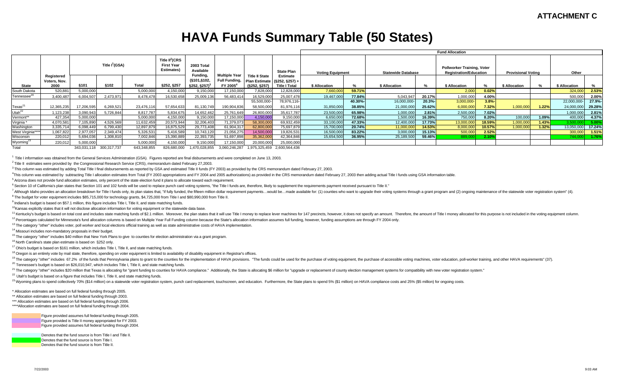## **HAVA Funds Summary Table (50 States)**

|                         |                                    |                            |                         |             |             |                                                      |                                                                      |                                       |                                                                  | <b>Fund Allocation</b> |         |               |        |               |          |               |       |               |                 |  |  |  |  |  |  |  |  |  |  |  |  |                         |  |  |                   |                         |  |                           |  |                                                             |  |                           |  |       |  |
|-------------------------|------------------------------------|----------------------------|-------------------------|-------------|-------------|------------------------------------------------------|----------------------------------------------------------------------|---------------------------------------|------------------------------------------------------------------|------------------------|---------|---------------|--------|---------------|----------|---------------|-------|---------------|-----------------|--|--|--|--|--|--|--|--|--|--|--|--|-------------------------|--|--|-------------------|-------------------------|--|---------------------------|--|-------------------------------------------------------------|--|---------------------------|--|-------|--|
|                         |                                    | Title I <sup>1</sup> (GSA) |                         |             |             |                                                      |                                                                      |                                       |                                                                  |                        |         |               |        |               |          |               |       |               |                 |  |  |  |  |  |  |  |  |  |  |  |  | 2003 Total<br>Available |  |  | <b>State Plan</b> | <b>Voting Equipment</b> |  | <b>Statewide Database</b> |  | Pollworker Training, Voter<br><b>Registration/Education</b> |  | <b>Provisional Voting</b> |  | Other |  |
| <b>State</b>            | Registered<br>Voters, Nov.<br>2000 | \$101                      | §102                    | Total       | §252, §257  | Funding,<br>(§101,§102,<br>$$252, $257$ <sup>3</sup> | <b>Multiple Year</b><br><b>Full Funding,</b><br>FY 2005 <sup>4</sup> | <b>Title II State</b><br>(S252, S257) | Estimate<br>Plan Estimate (§252, §257) +<br><b>Title I Total</b> | \$ Allocation          |         | \$ Allocation | %      | \$ Allocation |          | \$ Allocation |       | \$ Allocation |                 |  |  |  |  |  |  |  |  |  |  |  |  |                         |  |  |                   |                         |  |                           |  |                                                             |  |                           |  |       |  |
| South Dakota            | 520,881                            | 5,000,000                  |                         | 5,000,000   | 4,150,000   | 9,150,000                                            | 17,150,000                                                           | 7,828,000                             | 12,828,000                                                       | 7,660,000              | 59.71%  |               |        | 2,000         | 0.02%    |               |       | 324,000       | 2.53%           |  |  |  |  |  |  |  |  |  |  |  |  |                         |  |  |                   |                         |  |                           |  |                                                             |  |                           |  |       |  |
| Tennessee <sup>20</sup> | 3,400,487                          | 6,004,507                  | 2,473,971               | 8,478,478   | 16,530,658  | 25,009,136                                           | 56,483,414                                                           | 6,529,000                             | 25,007,478                                                       | 19,467,000             | 77.84%  | 5,043,947     | 20.17% | 1,000,000     | 4.00%    |               |       | 500,000       | 2.00%           |  |  |  |  |  |  |  |  |  |  |  |  |                         |  |  |                   |                         |  |                           |  |                                                             |  |                           |  |       |  |
|                         |                                    |                            |                         |             |             |                                                      |                                                                      | 55,500,000-                           | 78,976,116-                                                      |                        | 40.30%- | 16,000,000-   | 20.3%  | 3,000,000-    | $3.8% -$ |               |       | 22,000,000    | 27.9%-          |  |  |  |  |  |  |  |  |  |  |  |  |                         |  |  |                   |                         |  |                           |  |                                                             |  |                           |  |       |  |
| $T$ exas <sup>21</sup>  | 12,365,235                         | 17,206,595                 | 6,269,521               | 23,476,116  | 57,654,633  | 81,130,749                                           | 190,904,836                                                          | 58,500,000                            | 81,976,116                                                       | 31,850,000             | 38.85%  | 21,000,000    | 25.62% | 6,000,000     | 7.32%    | 1,000,000     | 1.22% | 24,000,000    | 29.28%          |  |  |  |  |  |  |  |  |  |  |  |  |                         |  |  |                   |                         |  |                           |  |                                                             |  |                           |  |       |  |
| Utah <sup>22</sup>      | ,123,238                           | 3,090,943                  | 5,726,844               | 8,817,787   | 5,834,675   | 14,652,462                                           | 25,761,649                                                           | 26,800,000                            | 35,617,787                                                       | 23,500,000             | 65.98%  | 1,000,000     | 2.81%  | 2,500,000     | 7.02%    |               |       | 1,000,000     | 2.81%           |  |  |  |  |  |  |  |  |  |  |  |  |                         |  |  |                   |                         |  |                           |  |                                                             |  |                           |  |       |  |
| Vermont**               | 427.354                            | 5,000,000                  |                         | 5,000,000   | 4,150,000   | 9,150,000                                            | 17,150,000                                                           | 4,150,000                             | 9,150,000                                                        | 6,650,000              | 72.68%  | 1,500,000     | 16.39% | 750,000       | 8.20%    | 100,000       | 1.09% | 400,000       | 4.37%           |  |  |  |  |  |  |  |  |  |  |  |  |                         |  |  |                   |                         |  |                           |  |                                                             |  |                           |  |       |  |
| Virginia *              | 4,070,581                          | 7,105,890                  | 4,526,569               | 11,632,459  | 20,573,944  | 32,206,403                                           | 71,379,073                                                           | 58,300,00                             | 69,932,459                                                       | 33,100,000             | 47.33%  | 12,400,000    | 17.73% | 13,000,000    | 18.59%   | 1,000,000     | 1.43% | 3,500,0       | $-5.00^{\circ}$ |  |  |  |  |  |  |  |  |  |  |  |  |                         |  |  |                   |                         |  |                           |  |                                                             |  |                           |  |       |  |
| Washington              | 3,335,71                           | 6,098,449                  | 6,799,430               | 12,897,879  | 16,875,529  | 29,773,408                                           | 61,904,317                                                           | 62,800,00                             | 75,697,879                                                       | 15,700,000             | 20.74%  | 11,000,000    | 14.53% | 8,000,000     | 10.57%   | 1,000,000     | 1.32% | 13,050,000    | 17.24%          |  |  |  |  |  |  |  |  |  |  |  |  |                         |  |  |                   |                         |  |                           |  |                                                             |  |                           |  |       |  |
| West Virginia***        | 1,067,822                          | 2,977,057                  | 2,349,474               | 5,326,531   | 5,416,589   | 10,743,120                                           | 21,056,275                                                           | 14,500,000                            | 19,826,531                                                       | 16,500,000             | 83.22%  | 3,000,000     | 15.13% | 500,000       | 2.52%    |               |       | 300,000       | 1.51%           |  |  |  |  |  |  |  |  |  |  |  |  |                         |  |  |                   |                         |  |                           |  |                                                             |  |                           |  |       |  |
| Wisconsin               | 220,012                            | 5,694,036                  | ,308,810                | 7,002,846   | 15,390,889  | 22,393,735                                           | 51,697,898                                                           | 35,362,000                            | 42,364,846                                                       | 15,654,500             | 36.95%  | 25,189,500    | 59.46% | 889,00        | 2.10%    |               |       | 744.000       | 1.76%           |  |  |  |  |  |  |  |  |  |  |  |  |                         |  |  |                   |                         |  |                           |  |                                                             |  |                           |  |       |  |
| Wyoming <sup>23</sup>   | 220,012                            | 5,000,000                  |                         | 5,000,000   | 4,150,000   | 9,150,000                                            | 17,150,000                                                           | 20,000,00                             | 25,000,000                                                       |                        |         |               |        |               |          |               |       |               |                 |  |  |  |  |  |  |  |  |  |  |  |  |                         |  |  |                   |                         |  |                           |  |                                                             |  |                           |  |       |  |
| Total                   |                                    |                            | 343,031,118 300,317,737 | 643,348,855 | 826,680,000 | .470,028,855                                         | 3.060.246.287                                                        |                                       | 1,975,325,459 2,600,564,436                                      |                        |         |               |        |               |          |               |       |               |                 |  |  |  |  |  |  |  |  |  |  |  |  |                         |  |  |                   |                         |  |                           |  |                                                             |  |                           |  |       |  |

<sup>1</sup> Title I information was obtained from the General Services Administration (GSA). Figures reported are final disbursements and were completed on June 13, 2003.

<sup>2</sup> Title II estimates were provided by the Congressional Research Service (CRS), memorandum dated February 27,2003.

<sup>3</sup> This column was estimated by adding Total Title I final disbursements as reported by GSA and estimated Title II funds (FY 2003) as provided by the CRS memorandum dated February 27, 2003.

<sup>4</sup>This column was estimated by subtracting Title I allocation estimates from Total (FY 2003 appropriations and FY 2004 and 2005 authorizations) as provided in the CRS memorandum dated February 27, 2003 then adding actual

<sup>5</sup>Arizona does not provide fund allocation estimates, only percent of the state election fund it plans to allocate toward each requirement.

6 Section 10 of California's plan states that Section 101 and 102 funds will be used to replace punch card voting systems, "the Title I funds are, therefore, likely to supplement the requirements payment received pursuant

7 Although Idaho provides an allocation breakdown for Title I funds only, its plan states that, "if fully funded, the fifteen million dollar requirement payments...would be...made available for: (1) counties who want to up

<sup>8</sup> The budget for voter equipment includes \$85,715,000 for technology grants, \$4,725,000 from Title I and \$80,990,000 from Title II.

 $9$  Indiana's budget is based on \$57.1 million, this figure includes Title I, Title II, and state matching funds.

<sup>10</sup>Kansas explicitly states that it will not disclose allocation information for voting equipment or the statewide data base.

<sup>11</sup> Kentucky's budget is based on total cost and includes state matching funds of \$2.1 million. Moreover, the plan states that it will use Title I money to replace lever machines for 147 precincts, however, it does not sp <sup>12</sup> Percentages calculated for Minnesota's fund allocation columns is based on Multiple Year Full Funding column because the State's allocation information assumes full funding, however, funding assumptions are through FY

<sup>13</sup> The category "other" includes voter, poll worker and local elections official training as well as state administrative costs of HAVA implementation.

<sup>14</sup> Missouri includes non-mandatory proposals in their budget.

<sup>15</sup> The category "other" includes \$40 million that New York Plans to give to counties for election administration via a grant program.

 $16$  North Carolina's state plan estimate is based on §252 only.

<sup>17</sup> Ohio's budget is based on \$161 million, which includes Title I, Title II, and state matching funds.

<sup>18</sup> Oregon is an entirely vote by mail state, therefore, spending on voter equipment is limited to availability of disability equipment in Registrar's offices.

<sup>19</sup> The category "other" includes 67.2% of the funds that Pennsylvania plans to grant to the counties for the implementation of HAVA provisions. "The funds could be used for the purchase of voting equipment, the purchase

 $^{20}$  Tennessee's budget is based on \$26,010,947, which includes Title I, Title II, and state matching funds.

<sup>21</sup> The category "other" includes \$20 million that Texas is allocating for "grant funding to counties for HAVA compliance." Additionally, the State is allocating \$6 million for "upgrade or replacement of county election m

 $22$  Utah's budget is based on a figure that includes Title I, Title II, and state matching funds.

<sup>23</sup> Wyoming plans to spend collectively 70% (\$14 million) on a statewide voter registration system, punch card replacement, touchscreen, and education. Furthermore, the State plans to spend 5% (\$1 million) on HAVA complia

\* Allocation estimates are based on full federal funding through 2005.

\*\* Allocation estimates are based on full federal funding through 2003.

\*\*\* Allocation estimates are based on full federal funding through 2006.

\*\*\*\*Allocation estimates are based on full federal funding through 2004.

Figure provided assumes full federal funding through 2005. Figure provided is Title II money appropriated for FY 2003. Figure provided assumes full federal funding through 2004.

Denotes that the fund source is from Title I and Title II. Denotes that the fund source is from Title I. Denotes that the fund source is from Title II.